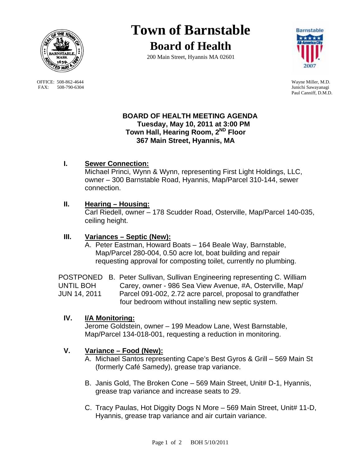

OFFICE: 508-862-4644 Wayne Miller, M.D.<br>
FAX: 508-790-6304 Junichi Sawayanagi FAX: 508-790-6304

# **Town of Barnstable Board of Health**

200 Main Street, Hyannis MA 02601



Paul Canniff, D.M.D.

## **BOARD OF HEALTH MEETING AGENDA Tuesday, May 10, 2011 at 3:00 PM Town Hall, Hearing Room, 2ND Floor 367 Main Street, Hyannis, MA**

# **I. Sewer Connection:**

 Michael Princi, Wynn & Wynn, representing First Light Holdings, LLC, owner – 300 Barnstable Road, Hyannis, Map/Parcel 310-144, sewer connection.

# **II. Hearing – Housing:**

 Carl Riedell, owner – 178 Scudder Road, Osterville, Map/Parcel 140-035, ceiling height.

## **III. Variances – Septic (New):**

A. Peter Eastman, Howard Boats – 164 Beale Way, Barnstable, Map/Parcel 280-004, 0.50 acre lot, boat building and repair requesting approval for composting toilet, currently no plumbing.

POSTPONED B. Peter Sullivan, Sullivan Engineering representing C. William UNTIL BOH Carey, owner - 986 Sea View Avenue, #A, Osterville, Map/ JUN 14, 2011 Parcel 091-002, 2.72 acre parcel, proposal to grandfather four bedroom without installing new septic system.

# **IV. I/A Monitoring:**

 Jerome Goldstein, owner – 199 Meadow Lane, West Barnstable, Map/Parcel 134-018-001, requesting a reduction in monitoring.

# **V. Variance – Food (New):**

- A. Michael Santos representing Cape's Best Gyros & Grill 569 Main St (formerly Café Samedy), grease trap variance.
- B. Janis Gold, The Broken Cone 569 Main Street, Unit# D-1, Hyannis, grease trap variance and increase seats to 29.
- C. Tracy Paulas, Hot Diggity Dogs N More 569 Main Street, Unit# 11-D, Hyannis, grease trap variance and air curtain variance.